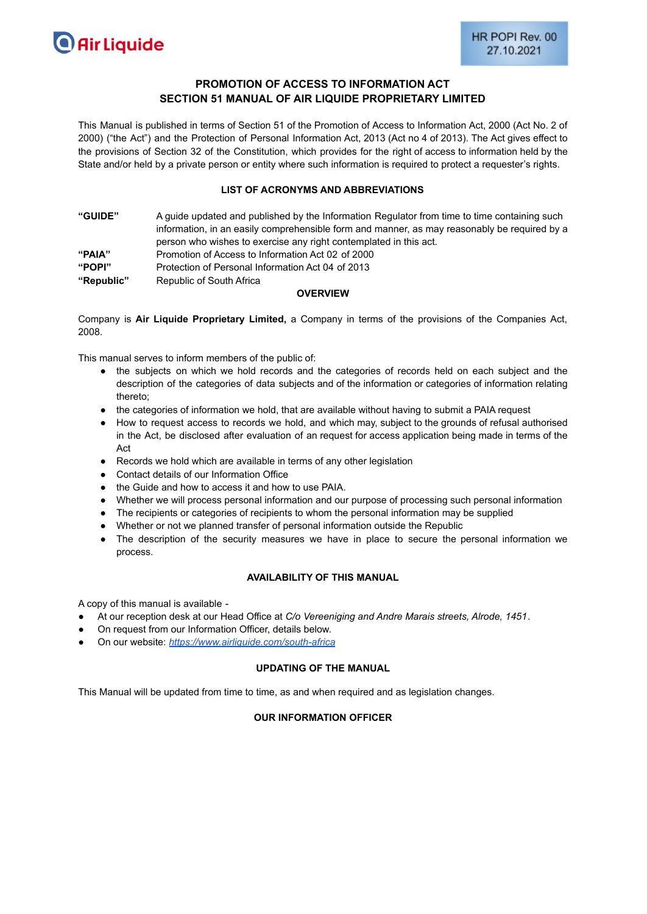# **PROMOTION OF ACCESS TO INFORMATION ACT SECTION 51 MANUAL OF AIR LIQUIDE PROPRIETARY LIMITED**

This Manual is published in terms of Section 51 of the Promotion of Access to Information Act, 2000 (Act No. 2 of 2000) ("the Act") and the Protection of Personal Information Act, 2013 (Act no 4 of 2013). The Act gives effect to the provisions of Section 32 of the Constitution, which provides for the right of access to information held by the State and/or held by a private person or entity where such information is required to protect a requester's rights.

#### **LIST OF ACRONYMS AND ABBREVIATIONS**

| <b>"GUIDE"</b> | A quide updated and published by the Information Regulator from time to time containing such |
|----------------|----------------------------------------------------------------------------------------------|
|                | information, in an easily comprehensible form and manner, as may reasonably be required by a |
|                | person who wishes to exercise any right contemplated in this act.                            |
| "PAIA"         | Promotion of Access to Information Act 02 of 2000                                            |
| "POPI"         | Protection of Personal Information Act 04 of 2013                                            |
| "Republic"     | Republic of South Africa                                                                     |

#### **OVERVIEW**

Company is **Air Liquide Proprietary Limited,** a Company in terms of the provisions of the Companies Act, 2008.

This manual serves to inform members of the public of:

- the subjects on which we hold records and the categories of records held on each subject and the description of the categories of data subjects and of the information or categories of information relating thereto;
- the categories of information we hold, that are available without having to submit a PAIA request
- How to request access to records we hold, and which may, subject to the grounds of refusal authorised in the Act, be disclosed after evaluation of an request for access application being made in terms of the Act
- Records we hold which are available in terms of any other legislation
- Contact details of our Information Office
- the Guide and how to access it and how to use PAIA.
- Whether we will process personal information and our purpose of processing such personal information
- The recipients or categories of recipients to whom the personal information may be supplied
- Whether or not we planned transfer of personal information outside the Republic
- The description of the security measures we have in place to secure the personal information we process.

# **AVAILABILITY OF THIS MANUAL**

A copy of this manual is available -

- At our reception desk at our Head Office at *C/o Vereeniging and Andre Marais streets, Alrode, 1451*.
- On request from our Information Officer, details below.
- On our website: *<https://www.airliquide.com/south-africa>*

#### **UPDATING OF THE MANUAL**

This Manual will be updated from time to time, as and when required and as legislation changes.

#### **OUR INFORMATION OFFICER**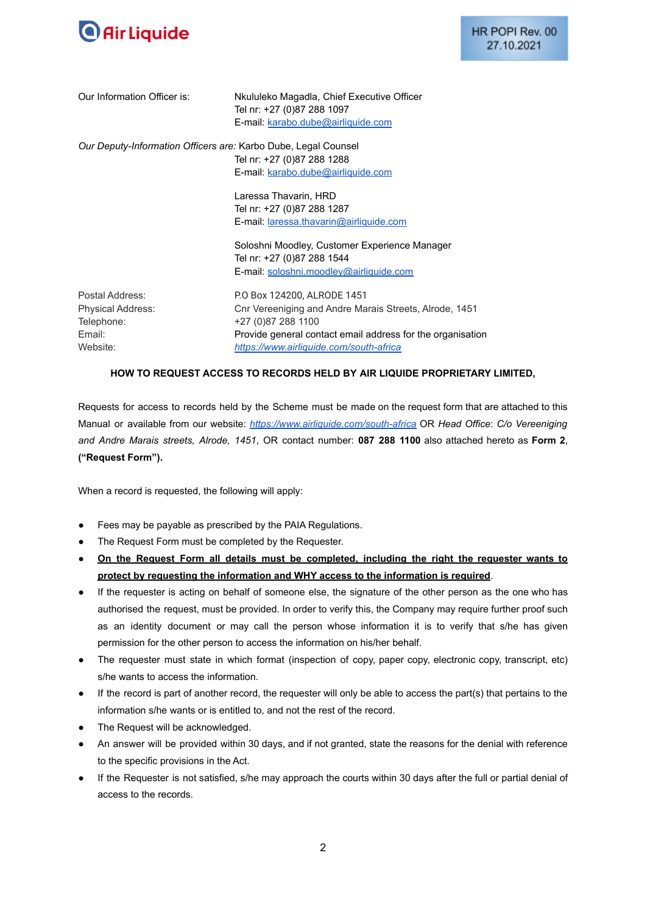

HR POPI Rev. 00 27.10.2021

| Our Information Officer is:                                                     | Nkululeko Magadla, Chief Executive Officer<br>Tel nr: +27 (0)87 288 1097<br>E-mail: karabo.dube@airliquide.com                                                                                                       |
|---------------------------------------------------------------------------------|----------------------------------------------------------------------------------------------------------------------------------------------------------------------------------------------------------------------|
| Our Deputy-Information Officers are: Karbo Dube, Legal Counsel                  | Tel nr: +27 (0)87 288 1288<br>E-mail: karabo.dube@airliquide.com                                                                                                                                                     |
|                                                                                 | Laressa Thavarin, HRD<br>Tel nr: +27 (0)87 288 1287<br>E-mail: laressa.thavarin@airliquide.com                                                                                                                       |
|                                                                                 | Soloshni Moodley, Customer Experience Manager<br>Tel nr: +27 (0)87 288 1544<br>E-mail: soloshni.moodley@airliquide.com                                                                                               |
| Postal Address:<br><b>Physical Address:</b><br>Telephone:<br>Email:<br>Website: | P.O Box 124200, ALRODE 1451<br>Cnr Vereeniging and Andre Marais Streets, Alrode, 1451<br>+27 (0)87 288 1100<br>Provide general contact email address for the organisation<br>https://www.airliquide.com/south-africa |

#### **HOW TO REQUEST ACCESS TO RECORDS HELD BY AIR LIQUIDE PROPRIETARY LIMITED,**

Requests for access to records held by the Scheme must be made on the request form that are attached to this Manual or available from our website: *<https://www.airliquide.com/south-africa>* OR *Head Office*: *C/o Vereeniging and Andre Marais streets, Alrode, 1451*, OR contact number: **087 288 1100** also attached hereto as **Form 2**, **("Request Form").**

When a record is requested, the following will apply:

- Fees may be payable as prescribed by the PAIA Regulations.
- The Request Form must be completed by the Requester.
- **On the Request Form all details must be completed, including the right the requester wants to protect by requesting the information and WHY access to the information is required**.
- If the requester is acting on behalf of someone else, the signature of the other person as the one who has authorised the request, must be provided. In order to verify this, the Company may require further proof such as an identity document or may call the person whose information it is to verify that s/he has given permission for the other person to access the information on his/her behalf.
- The requester must state in which format (inspection of copy, paper copy, electronic copy, transcript, etc) s/he wants to access the information.
- If the record is part of another record, the requester will only be able to access the part(s) that pertains to the information s/he wants or is entitled to, and not the rest of the record.
- The Request will be acknowledged.
- An answer will be provided within 30 days, and if not granted, state the reasons for the denial with reference to the specific provisions in the Act.
- If the Requester is not satisfied, s/he may approach the courts within 30 days after the full or partial denial of access to the records.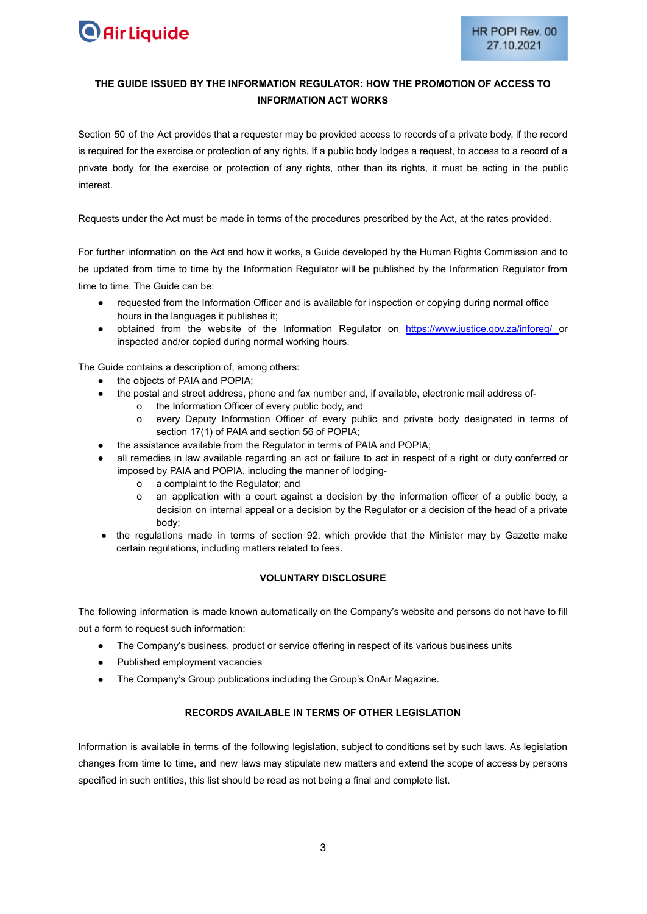

# **THE GUIDE ISSUED BY THE INFORMATION REGULATOR: HOW THE PROMOTION OF ACCESS TO INFORMATION ACT WORKS**

Section 50 of the Act provides that a requester may be provided access to records of a private body, if the record is required for the exercise or protection of any rights. If a public body lodges a request, to access to a record of a private body for the exercise or protection of any rights, other than its rights, it must be acting in the public interest.

Requests under the Act must be made in terms of the procedures prescribed by the Act, at the rates provided.

For further information on the Act and how it works, a Guide developed by the Human Rights Commission and to be updated from time to time by the Information Regulator will be published by the Information Regulator from time to time. The Guide can be:

- requested from the Information Officer and is available for inspection or copying during normal office hours in the languages it publishes it;
- obtained from the website of the Information Regulator on <https://www.justice.gov.za/inforeg/> or inspected and/or copied during normal working hours.

The Guide contains a description of, among others:

- the objects of PAIA and POPIA;
- the postal and street address, phone and fax number and, if available, electronic mail address of
	- o the Information Officer of every public body, and
		- o every Deputy Information Officer of every public and private body designated in terms of section 17(1) of PAIA and section 56 of POPIA;
- the assistance available from the Regulator in terms of PAIA and POPIA;
- all remedies in law available regarding an act or failure to act in respect of a right or duty conferred or imposed by PAIA and POPIA, including the manner of lodging
	- o a complaint to the Regulator; and
	- o an application with a court against a decision by the information officer of a public body, a decision on internal appeal or a decision by the Regulator or a decision of the head of a private body;
- the regulations made in terms of section 92, which provide that the Minister may by Gazette make certain regulations, including matters related to fees.

#### **VOLUNTARY DISCLOSURE**

The following information is made known automatically on the Company's website and persons do not have to fill out a form to request such information:

- The Company's business, product or service offering in respect of its various business units
- Published employment vacancies
- The Company's Group publications including the Group's OnAir Magazine.

#### **RECORDS AVAILABLE IN TERMS OF OTHER LEGISLATION**

Information is available in terms of the following legislation, subject to conditions set by such laws. As legislation changes from time to time, and new laws may stipulate new matters and extend the scope of access by persons specified in such entities, this list should be read as not being a final and complete list.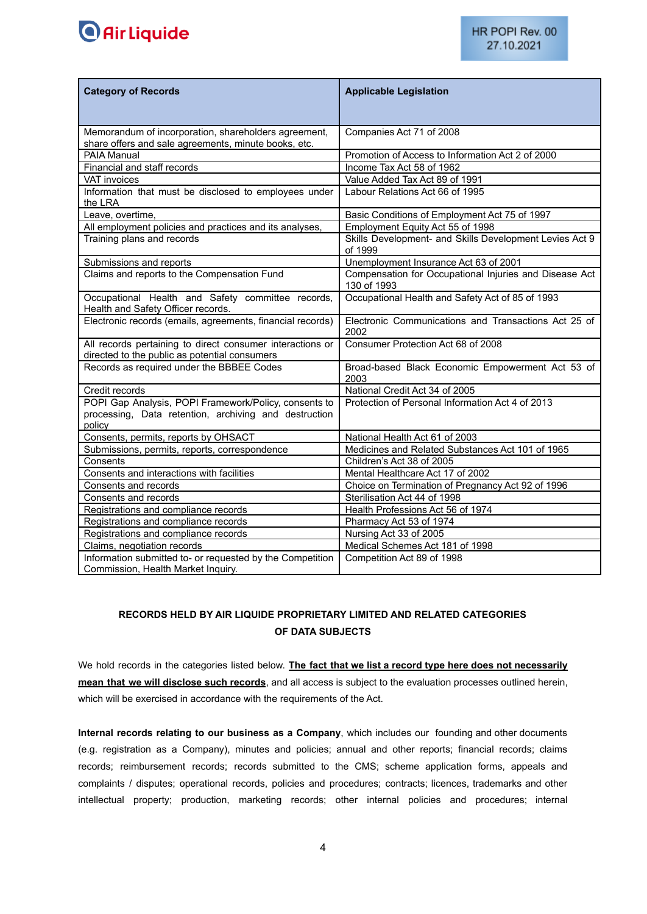

| <b>Category of Records</b>                                                                                               | <b>Applicable Legislation</b>                                         |
|--------------------------------------------------------------------------------------------------------------------------|-----------------------------------------------------------------------|
|                                                                                                                          |                                                                       |
| Memorandum of incorporation, shareholders agreement,<br>share offers and sale agreements, minute books, etc.             | Companies Act 71 of 2008                                              |
| PAIA Manual                                                                                                              | Promotion of Access to Information Act 2 of 2000                      |
| Financial and staff records                                                                                              | Income Tax Act 58 of 1962                                             |
| <b>VAT invoices</b>                                                                                                      | Value Added Tax Act 89 of 1991                                        |
| Information that must be disclosed to employees under<br>the LRA                                                         | Labour Relations Act 66 of 1995                                       |
| Leave, overtime,                                                                                                         | Basic Conditions of Employment Act 75 of 1997                         |
| All employment policies and practices and its analyses,                                                                  | Employment Equity Act 55 of 1998                                      |
| Training plans and records                                                                                               | Skills Development- and Skills Development Levies Act 9<br>of 1999    |
| Submissions and reports                                                                                                  | Unemployment Insurance Act 63 of 2001                                 |
| Claims and reports to the Compensation Fund                                                                              | Compensation for Occupational Injuries and Disease Act<br>130 of 1993 |
| Occupational Health and Safety committee records,<br>Health and Safety Officer records.                                  | Occupational Health and Safety Act of 85 of 1993                      |
| Electronic records (emails, agreements, financial records)                                                               | Electronic Communications and Transactions Act 25 of<br>2002          |
| All records pertaining to direct consumer interactions or<br>directed to the public as potential consumers               | Consumer Protection Act 68 of 2008                                    |
| Records as required under the BBBEE Codes                                                                                | Broad-based Black Economic Empowerment Act 53 of<br>2003              |
| Credit records                                                                                                           | National Credit Act 34 of 2005                                        |
| POPI Gap Analysis, POPI Framework/Policy, consents to<br>processing, Data retention, archiving and destruction<br>policy | Protection of Personal Information Act 4 of 2013                      |
| Consents, permits, reports by OHSACT                                                                                     | National Health Act 61 of 2003                                        |
| Submissions, permits, reports, correspondence                                                                            | Medicines and Related Substances Act 101 of 1965                      |
| Consents                                                                                                                 | Children's Act 38 of 2005                                             |
| Consents and interactions with facilities                                                                                | Mental Healthcare Act 17 of 2002                                      |
| Consents and records                                                                                                     | Choice on Termination of Pregnancy Act 92 of 1996                     |
| Consents and records                                                                                                     | Sterilisation Act 44 of 1998                                          |
| Registrations and compliance records                                                                                     | Health Professions Act 56 of 1974                                     |
| Registrations and compliance records                                                                                     | Pharmacy Act 53 of 1974                                               |
| Registrations and compliance records                                                                                     | Nursing Act 33 of 2005                                                |
| Claims, negotiation records                                                                                              | Medical Schemes Act 181 of 1998                                       |
| Information submitted to- or requested by the Competition<br>Commission, Health Market Inquiry.                          | Competition Act 89 of 1998                                            |

# **RECORDS HELD BY AIR LIQUIDE PROPRIETARY LIMITED AND RELATED CATEGORIES OF DATA SUBJECTS**

We hold records in the categories listed below. **The fact that we list a record type here does not necessarily mean that we will disclose such records**, and all access is subject to the evaluation processes outlined herein, which will be exercised in accordance with the requirements of the Act.

**Internal records relating to our business as a Company**, which includes our founding and other documents (e.g. registration as a Company), minutes and policies; annual and other reports; financial records; claims records; reimbursement records; records submitted to the CMS; scheme application forms, appeals and complaints / disputes; operational records, policies and procedures; contracts; licences, trademarks and other intellectual property; production, marketing records; other internal policies and procedures; internal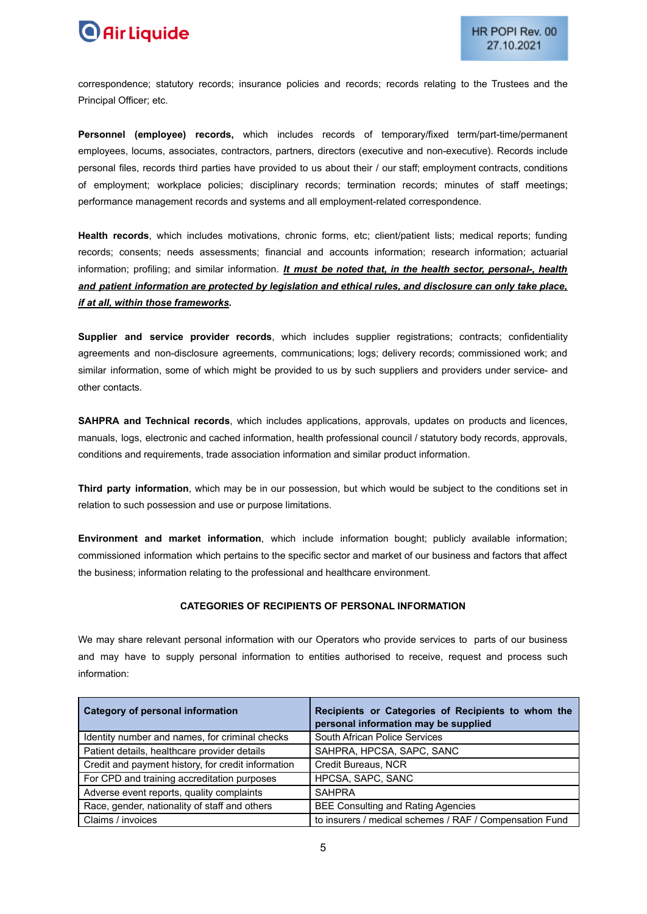# **O** Air Liquide

correspondence; statutory records; insurance policies and records; records relating to the Trustees and the Principal Officer; etc.

**Personnel (employee) records,** which includes records of temporary/fixed term/part-time/permanent employees, locums, associates, contractors, partners, directors (executive and non-executive). Records include personal files, records third parties have provided to us about their / our staff; employment contracts, conditions of employment; workplace policies; disciplinary records; termination records; minutes of staff meetings; performance management records and systems and all employment-related correspondence.

**Health records**, which includes motivations, chronic forms, etc; client/patient lists; medical reports; funding records; consents; needs assessments; financial and accounts information; research information; actuarial information; profiling; and similar information. *It must be noted that, in the health sector, personal-, health and patient information are protected by legislation and ethical rules, and disclosure can only take place, if at all, within those frameworks.*

**Supplier and service provider records**, which includes supplier registrations; contracts; confidentiality agreements and non-disclosure agreements, communications; logs; delivery records; commissioned work; and similar information, some of which might be provided to us by such suppliers and providers under service- and other contacts.

**SAHPRA and Technical records**, which includes applications, approvals, updates on products and licences, manuals, logs, electronic and cached information, health professional council / statutory body records, approvals, conditions and requirements, trade association information and similar product information.

**Third party information**, which may be in our possession, but which would be subject to the conditions set in relation to such possession and use or purpose limitations.

**Environment and market information**, which include information bought; publicly available information; commissioned information which pertains to the specific sector and market of our business and factors that affect the business; information relating to the professional and healthcare environment.

#### **CATEGORIES OF RECIPIENTS OF PERSONAL INFORMATION**

We may share relevant personal information with our Operators who provide services to parts of our business and may have to supply personal information to entities authorised to receive, request and process such information:

| Category of personal information                   | Recipients or Categories of Recipients to whom the<br>personal information may be supplied |
|----------------------------------------------------|--------------------------------------------------------------------------------------------|
| Identity number and names, for criminal checks     | South African Police Services                                                              |
| Patient details, healthcare provider details       | SAHPRA, HPCSA, SAPC, SANC                                                                  |
| Credit and payment history, for credit information | Credit Bureaus, NCR                                                                        |
| For CPD and training accreditation purposes        | HPCSA, SAPC, SANC                                                                          |
| Adverse event reports, quality complaints          | <b>SAHPRA</b>                                                                              |
| Race, gender, nationality of staff and others      | <b>BEE Consulting and Rating Agencies</b>                                                  |
| Claims / invoices                                  | to insurers / medical schemes / RAF / Compensation Fund                                    |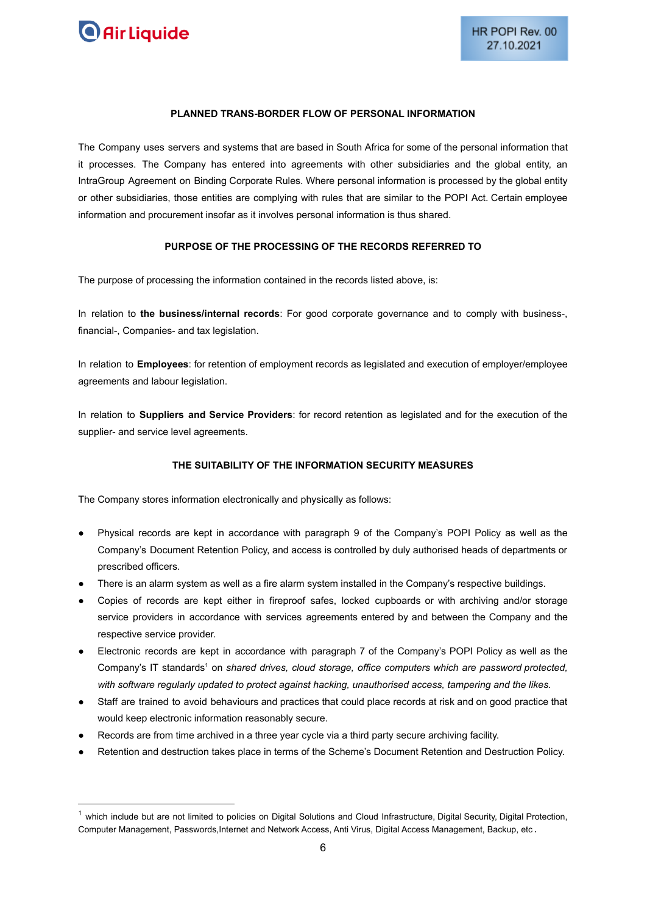

#### **PLANNED TRANS-BORDER FLOW OF PERSONAL INFORMATION**

The Company uses servers and systems that are based in South Africa for some of the personal information that it processes. The Company has entered into agreements with other subsidiaries and the global entity, an IntraGroup Agreement on Binding Corporate Rules. Where personal information is processed by the global entity or other subsidiaries, those entities are complying with rules that are similar to the POPI Act. Certain employee information and procurement insofar as it involves personal information is thus shared.

#### **PURPOSE OF THE PROCESSING OF THE RECORDS REFERRED TO**

The purpose of processing the information contained in the records listed above, is:

In relation to **the business/internal records**: For good corporate governance and to comply with business-, financial-, Companies- and tax legislation.

In relation to **Employees**: for retention of employment records as legislated and execution of employer/employee agreements and labour legislation.

In relation to **Suppliers and Service Providers**: for record retention as legislated and for the execution of the supplier- and service level agreements.

# **THE SUITABILITY OF THE INFORMATION SECURITY MEASURES**

The Company stores information electronically and physically as follows:

- Physical records are kept in accordance with paragraph 9 of the Company's POPI Policy as well as the Company's Document Retention Policy, and access is controlled by duly authorised heads of departments or prescribed officers.
- There is an alarm system as well as a fire alarm system installed in the Company's respective buildings.
- Copies of records are kept either in fireproof safes, locked cupboards or with archiving and/or storage service providers in accordance with services agreements entered by and between the Company and the respective service provider.
- Electronic records are kept in accordance with paragraph 7 of the Company's POPI Policy as well as the Company's IT standards<sup>1</sup> on *shared drives, cloud storage, office computers which are password protected, with software regularly updated to protect against hacking, unauthorised access, tampering and the likes.*
- Staff are trained to avoid behaviours and practices that could place records at risk and on good practice that would keep electronic information reasonably secure.
- Records are from time archived in a three year cycle via a third party secure archiving facility.
- Retention and destruction takes place in terms of the Scheme's Document Retention and Destruction Policy.

 $1$  which include but are not limited to policies on Digital Solutions and Cloud Infrastructure, Digital Security, Digital Protection, Computer Management, Passwords,Internet and Network Access, Anti Virus, Digital Access Management, Backup, etc .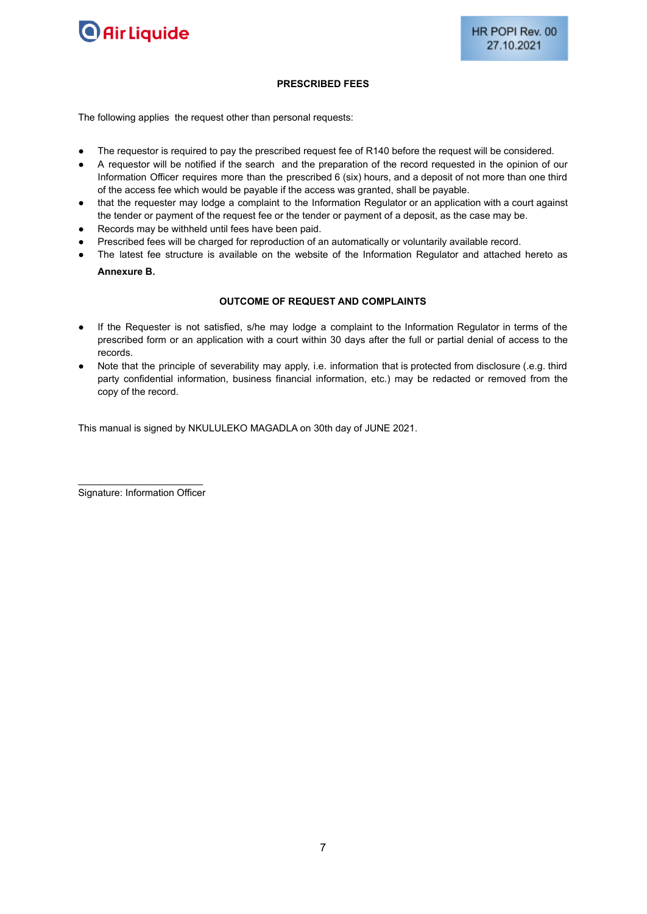

#### **PRESCRIBED FEES**

The following applies the request other than personal requests:

- The requestor is required to pay the prescribed request fee of R140 before the request will be considered.
- A requestor will be notified if the search and the preparation of the record requested in the opinion of our Information Officer requires more than the prescribed 6 (six) hours, and a deposit of not more than one third of the access fee which would be payable if the access was granted, shall be payable.
- that the requester may lodge a complaint to the Information Regulator or an application with a court against the tender or payment of the request fee or the tender or payment of a deposit, as the case may be.
- Records may be withheld until fees have been paid.
- Prescribed fees will be charged for reproduction of an automatically or voluntarily available record.
- The latest fee structure is available on the website of the Information Regulator and attached hereto as **Annexure B.**

#### **OUTCOME OF REQUEST AND COMPLAINTS**

- If the Requester is not satisfied, s/he may lodge a complaint to the Information Regulator in terms of the prescribed form or an application with a court within 30 days after the full or partial denial of access to the records.
- Note that the principle of severability may apply, i.e. information that is protected from disclosure (.e.g. third party confidential information, business financial information, etc.) may be redacted or removed from the copy of the record.

This manual is signed by NKULULEKO MAGADLA on 30th day of JUNE 2021.

 $\mathcal{L}_\text{max}$  , where  $\mathcal{L}_\text{max}$  and  $\mathcal{L}_\text{max}$ Signature: Information Officer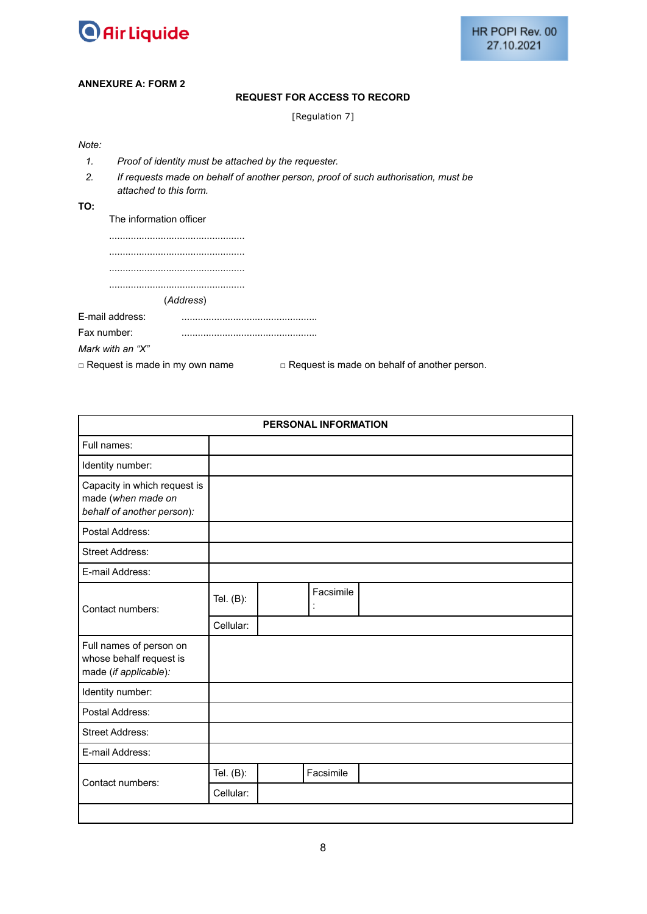

#### **ANNEXURE A: FORM 2**

#### **REQUEST FOR ACCESS TO RECORD**

[Regulation 7]

- *1. Proof of identity must be attached by the requester.*
- *2. If requests made on behalf of another person, proof of such authorisation, must be attached to this form.*
- **TO:**

The information officer

..................................................

.................................................. (*Address*)

E-mail address: ..................................................

| Fax number:             |  |
|-------------------------|--|
|                         |  |
| .<br>(0.75)<br>$\cdots$ |  |

*Mark with an "X"*

□ Request is made in my own name □ Request is made on behalf of another person.

| PERSONAL INFORMATION                                                             |              |  |           |  |  |
|----------------------------------------------------------------------------------|--------------|--|-----------|--|--|
| Full names:                                                                      |              |  |           |  |  |
| Identity number:                                                                 |              |  |           |  |  |
| Capacity in which request is<br>made (when made on<br>behalf of another person): |              |  |           |  |  |
| Postal Address:                                                                  |              |  |           |  |  |
| <b>Street Address:</b>                                                           |              |  |           |  |  |
| E-mail Address:                                                                  |              |  |           |  |  |
| Contact numbers:                                                                 | Tel. $(B)$ : |  | Facsimile |  |  |
|                                                                                  | Cellular:    |  |           |  |  |
| Full names of person on<br>whose behalf request is<br>made (if applicable):      |              |  |           |  |  |
| Identity number:                                                                 |              |  |           |  |  |
| Postal Address:                                                                  |              |  |           |  |  |
| <b>Street Address:</b>                                                           |              |  |           |  |  |
| E-mail Address:                                                                  |              |  |           |  |  |
| Contact numbers:                                                                 | Tel. $(B)$ : |  | Facsimile |  |  |
|                                                                                  | Cellular:    |  |           |  |  |
|                                                                                  |              |  |           |  |  |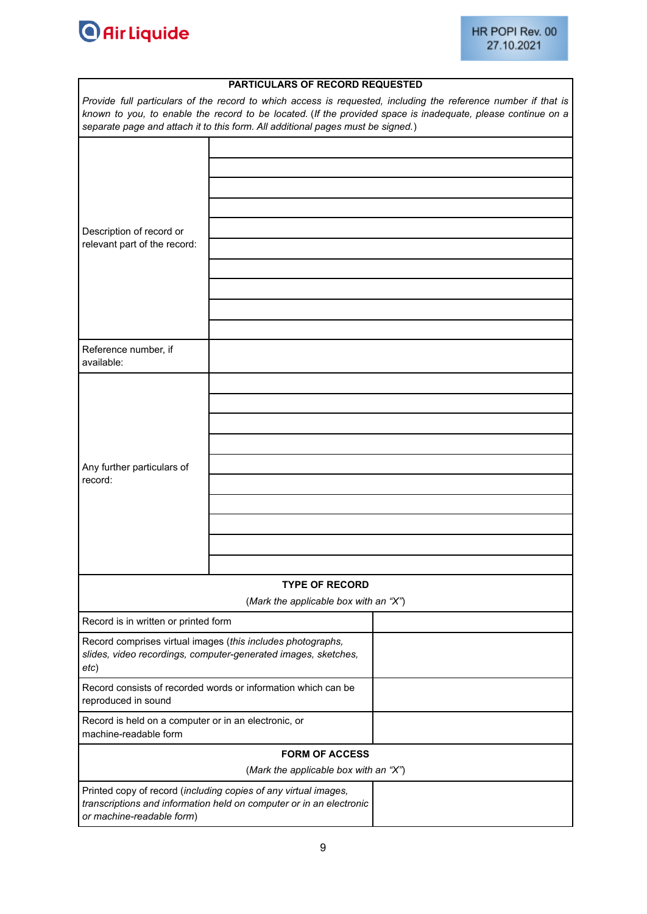

|                                                                                                                                       | <b>PARTICULARS OF RECORD REQUESTED</b>                                                                                                 | Provide full particulars of the record to which access is requested, including the reference number if that is |
|---------------------------------------------------------------------------------------------------------------------------------------|----------------------------------------------------------------------------------------------------------------------------------------|----------------------------------------------------------------------------------------------------------------|
|                                                                                                                                       | separate page and attach it to this form. All additional pages must be signed.)                                                        | known to you, to enable the record to be located. (If the provided space is inadequate, please continue on a   |
|                                                                                                                                       |                                                                                                                                        |                                                                                                                |
|                                                                                                                                       |                                                                                                                                        |                                                                                                                |
|                                                                                                                                       |                                                                                                                                        |                                                                                                                |
|                                                                                                                                       |                                                                                                                                        |                                                                                                                |
| Description of record or                                                                                                              |                                                                                                                                        |                                                                                                                |
| relevant part of the record:                                                                                                          |                                                                                                                                        |                                                                                                                |
|                                                                                                                                       |                                                                                                                                        |                                                                                                                |
|                                                                                                                                       |                                                                                                                                        |                                                                                                                |
|                                                                                                                                       |                                                                                                                                        |                                                                                                                |
|                                                                                                                                       |                                                                                                                                        |                                                                                                                |
| Reference number, if<br>available:                                                                                                    |                                                                                                                                        |                                                                                                                |
|                                                                                                                                       |                                                                                                                                        |                                                                                                                |
|                                                                                                                                       |                                                                                                                                        |                                                                                                                |
|                                                                                                                                       |                                                                                                                                        |                                                                                                                |
|                                                                                                                                       |                                                                                                                                        |                                                                                                                |
| Any further particulars of                                                                                                            |                                                                                                                                        |                                                                                                                |
| record:                                                                                                                               |                                                                                                                                        |                                                                                                                |
|                                                                                                                                       |                                                                                                                                        |                                                                                                                |
|                                                                                                                                       |                                                                                                                                        |                                                                                                                |
|                                                                                                                                       |                                                                                                                                        |                                                                                                                |
|                                                                                                                                       |                                                                                                                                        |                                                                                                                |
|                                                                                                                                       | <b>TYPE OF RECORD</b>                                                                                                                  |                                                                                                                |
|                                                                                                                                       | (Mark the applicable box with an "X")                                                                                                  |                                                                                                                |
| Record is in written or printed form                                                                                                  |                                                                                                                                        |                                                                                                                |
| Record comprises virtual images (this includes photographs,<br>slides, video recordings, computer-generated images, sketches,<br>etc) |                                                                                                                                        |                                                                                                                |
| Record consists of recorded words or information which can be<br>reproduced in sound                                                  |                                                                                                                                        |                                                                                                                |
| Record is held on a computer or in an electronic, or<br>machine-readable form                                                         |                                                                                                                                        |                                                                                                                |
|                                                                                                                                       | <b>FORM OF ACCESS</b>                                                                                                                  |                                                                                                                |
|                                                                                                                                       | (Mark the applicable box with an "X")                                                                                                  |                                                                                                                |
| or machine-readable form)                                                                                                             | Printed copy of record (including copies of any virtual images,<br>transcriptions and information held on computer or in an electronic |                                                                                                                |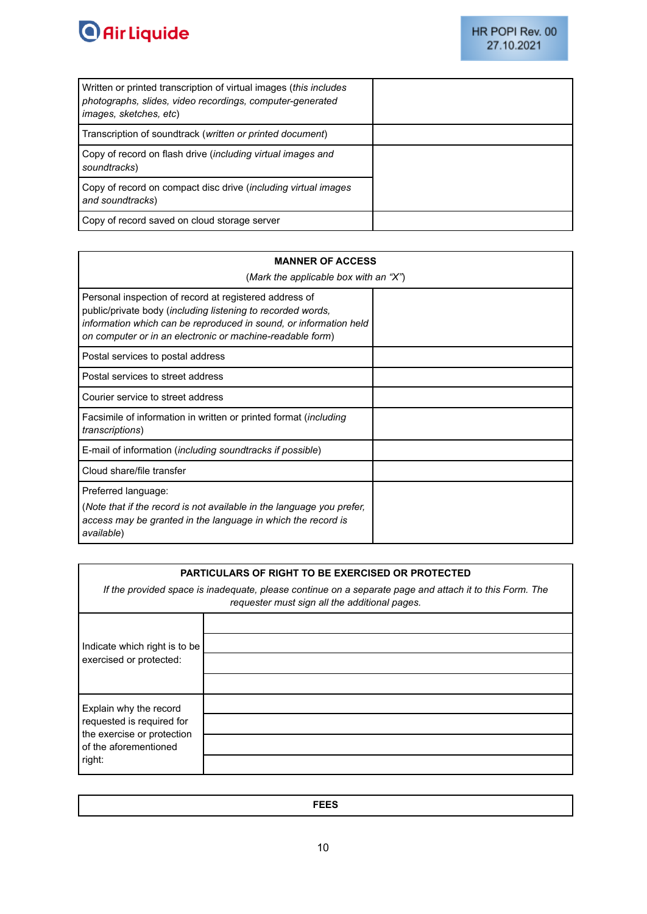

| Written or printed transcription of virtual images (this includes<br>photographs, slides, video recordings, computer-generated<br><i>images, sketches, etc)</i> |  |
|-----------------------------------------------------------------------------------------------------------------------------------------------------------------|--|
| Transcription of soundtrack (written or printed document)                                                                                                       |  |
| Copy of record on flash drive (including virtual images and<br>soundtracks)                                                                                     |  |
| Copy of record on compact disc drive (including virtual images<br>and soundtracks)                                                                              |  |
| Copy of record saved on cloud storage server                                                                                                                    |  |

# **MANNER OF ACCESS** (*Mark the applicable box with an "X"*) Personal inspection of record at registered address of public/private body (*including listening to recorded words, information which can be reproduced in sound, or information held on computer or in an electronic or machine-readable form*) Postal services to postal address Postal services to street address Courier service to street address Facsimile of information in written or printed format (*including transcriptions*) E-mail of information (*including soundtracks if possible*) Cloud share/file transfer Preferred language: (*Note that if the record is not available in the language you prefer, access may be granted in the language in which the record is available*)

# **PARTICULARS OF RIGHT TO BE EXERCISED OR PROTECTED**

*If the provided space is inadequate, please continue on a separate page and attach it to this Form. The requester must sign all the additional pages.*

| Indicate which right is to be<br>exercised or protected:                                   |  |
|--------------------------------------------------------------------------------------------|--|
|                                                                                            |  |
|                                                                                            |  |
| Explain why the record                                                                     |  |
| requested is required for<br>the exercise or protection<br>of the aforementioned<br>right: |  |
|                                                                                            |  |
|                                                                                            |  |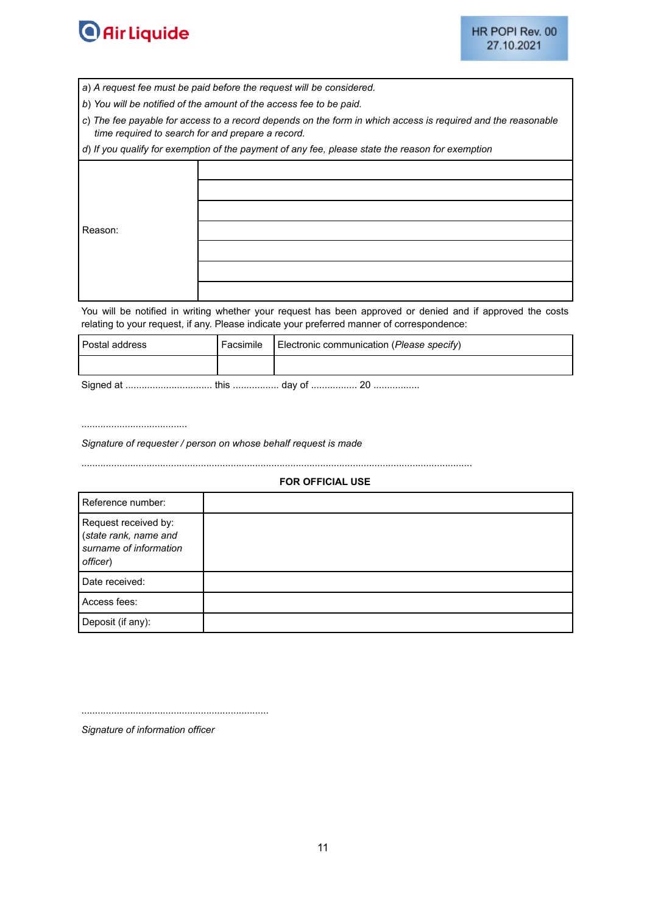

- *a*) *A request fee must be paid before the request will be considered.*
- *b*) *You will be notified of the amount of the access fee to be paid.*
- *c*) *The fee payable for access to a record depends on the form in which access is required and the reasonable time required to search for and prepare a record.*

*d*) *If you qualify for exemption of the payment of any fee, please state the reason for exemption*

| Reason: |  |
|---------|--|
|         |  |
|         |  |
|         |  |
|         |  |
|         |  |

You will be notified in writing whether your request has been approved or denied and if approved the costs relating to your request, if any. Please indicate your preferred manner of correspondence:

| Postal address | Facsimile | Electronic communication (Please specify) |
|----------------|-----------|-------------------------------------------|
|                |           |                                           |
|                |           |                                           |

Signed at ................................ this ................. day of ................. 20 .................

.......................................

*Signature of requester / person on whose behalf request is made*

................................................................................................................................................

#### **FOR OFFICIAL USE**

| Reference number:                                                                   |  |
|-------------------------------------------------------------------------------------|--|
| Request received by:<br>(state rank, name and<br>surname of information<br>officer) |  |
| Date received:                                                                      |  |
| Access fees:                                                                        |  |
| Deposit (if any):                                                                   |  |

.....................................................................

*Signature of information officer*